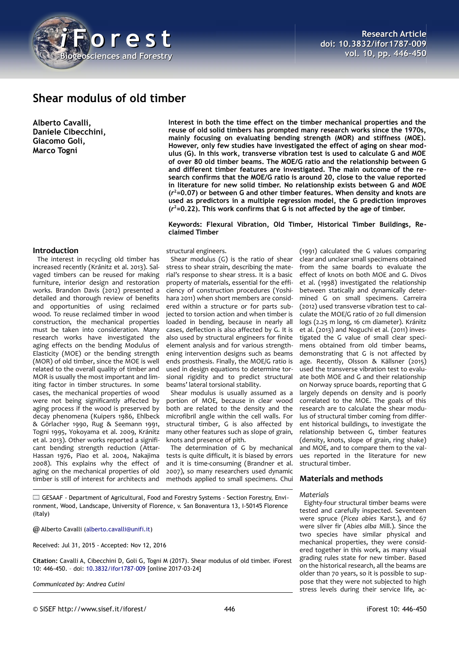

# **Shear modulus of old timber**

**Alberto Cavalli, Daniele Cibecchini, Giacomo Goli, Marco Togni**

**Introduction**

The interest in recycling old timber has increased recently (Kránitz et al. 2013). Salvaged timbers can be reused for making furniture, interior design and restoration works. Brandon Davis (2012) presented a detailed and thorough review of benefits and opportunities of using reclaimed wood. To reuse reclaimed timber in wood construction, the mechanical properties must be taken into consideration. Many research works have investigated the aging effects on the bending Modulus of Elasticity (MOE) or the bending strength (MOR) of old timber, since the MOE is well related to the overall quality of timber and MOR is usually the most important and limiting factor in timber structures. In some cases, the mechanical properties of wood were not being significantly affected by aging process if the wood is preserved by decay phenomena (Kuipers 1986, Ehlbeck & Görlacher 1990, Rug & Seemann 1991, Togni 1995, Yokoyama et al. 2009, Kránitz et al. 2013). Other works reported a significant bending strength reduction (Attar-Hassan 1976, Piao et al. 2004, Nakajima 2008). This explains why the effect of aging on the mechanical properties of old timber is still of interest for architects and

**Interest in both the time effect on the timber mechanical properties and the reuse of old solid timbers has prompted many research works since the 1970s, mainly focusing on evaluating bending strength (MOR) and stiffness (MOE). However, only few studies have investigated the effect of aging on shear modulus (G). In this work, transverse vibration test is used to calculate G and MOE of over 80 old timber beams. The MOE/G ratio and the relationship between G and different timber features are investigated. The main outcome of the research confirms that the MOE/G ratio is around 20, close to the value reported in literature for new solid timber. No relationship exists between G and MOE (***r* **<sup>2</sup>=0.07) or between G and other timber features. When density and knots are used as predictors in a multiple regression model, the G prediction improves (***r* **<sup>2</sup>=0.22). This work confirms that G is not affected by the age of timber.**

## **Keywords: Flexural Vibration, Old Timber, Historical Timber Buildings, Reclaimed Timber**

## structural engineers.

Shear modulus (G) is the ratio of shear stress to shear strain, describing the material's response to shear stress. It is a basic property of materials, essential for the efficiency of construction procedures (Yoshihara 2011) when short members are considered within a structure or for parts subjected to torsion action and when timber is loaded in bending, because in nearly all cases, deflection is also affected by G. It is also used by structural engineers for finite element analysis and for various strengthening intervention designs such as beams ends prosthesis. Finally, the MOE/G ratio is used in design equations to determine torsional rigidity and to predict structural beams' lateral torsional stability.

Shear modulus is usually assumed as a portion of MOE, because in clear wood both are related to the density and the microfibril angle within the cell walls. For structural timber, G is also affected by many other features such as slope of grain, knots and presence of pith.

The determination of G by mechanical tests is quite difficult, it is biased by errors and it is time-consuming (Brandner et al. 2007), so many researchers used dynamic methods applied to small specimens. Chui

GESAAF - Department of Agricultural, Food and Forestry Systems - Section Forestry, Environment, Wood, Landscape, University of Florence, v. San Bonaventura 13, I-50145 Florence (Italy)

@ Alberto Cavalli [\(alberto.cavalli@unifi.it\)](mailto:alberto.cavalli@unifi.it)

Received: Jul 31, 2015 - Accepted: Nov 12, 2016

**Citation:** Cavalli A, Cibecchini D, Goli G, Togni M (2017). Shear modulus of old timber. iForest 10: 446-450. – doi: [10.3832/ifor1787-009](http://www.sisef.it/iforest/contents/?id=ifor1787-009) [online 2017-03-24]

*Communicated by: Andrea Cutini*

**Research Article doi: 10.3832/ifor1787-009 vol. 10, pp. 446-450**

(1991) calculated the G values comparing clear and unclear small specimens obtained from the same boards to evaluate the effect of knots on both MOE and G. Divos et al. (1998) investigated the relationship between statically and dynamically determined G on small specimens. Carreira (2012) used transverse vibration test to calculate the MOE/G ratio of 20 full dimension logs (2.25 m long, 16 cm diameter). Kránitz et al. (2013) and Noguchi et al. (2011) investigated the G value of small clear specimens obtained from old timber beams, demonstrating that G is not affected by age. Recently, Olsson & Källsner (2015) used the transverse vibration test to evaluate both MOE and G and their relationship on Norway spruce boards, reporting that G largely depends on density and is poorly correlated to the MOE. The goals of this research are to calculate the shear modulus of structural timber coming from different historical buildings, to investigate the relationship between G, timber features (density, knots, slope of grain, ring shake) and MOE, and to compare them to the values reported in the literature for new structural timber.

## **Materials and methods**

#### *Materials*

Eighty-four structural timber beams were tested and carefully inspected. Seventeen were spruce (*Picea abies* Karst.), and 67 were silver fir (*Abies alba* Mill.). Since the two species have similar physical and mechanical properties, they were considered together in this work, as many visual grading rules state for new timber. Based on the historical research, all the beams are older than 70 years, so it is possible to suppose that they were not subjected to high stress levels during their service life, ac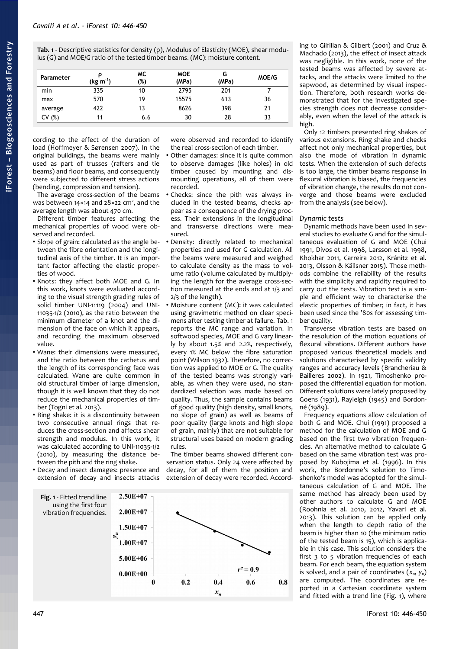<span id="page-1-0"></span>**Tab. 1** - Descriptive statistics for density (ρ), Modulus of Elasticity (MOE), shear modulus (G) and MOE/G ratio of the tested timber beams. (MC): moisture content.

| Parameter | (kg m <sup>-3</sup> ) | МC<br>(%) | <b>MOE</b><br>(MPa) | G<br>(MPa) | MOE/G |
|-----------|-----------------------|-----------|---------------------|------------|-------|
| min       | 335                   | 10        | 2795                | 201        |       |
| max       | 570                   | 19        | 15575               | 613        | 36    |
| average   | 422                   | 13        | 8626                | 398        | 21    |
| (%)<br>c٧ | 11                    | 6.6       | 30                  | 28         | 33    |

cording to the effect of the duration of load (Hoffmeyer & Sørensen 2007). In the original buildings, the beams were mainly used as part of trusses (rafters and tie beams) and floor beams, and consequently were subjected to different stress actions (bending, compression and tension).

The average cross-section of the beams was between  $14 \times 14$  and  $28 \times 22$  cm<sup>2</sup>, and the average length was about 470 cm.

Different timber features affecting the mechanical properties of wood were observed and recorded.

- Slope of grain: calculated as the angle between the fibre orientation and the longitudinal axis of the timber. It is an important factor affecting the elastic properties of wood.
- Knots: they affect both MOE and G. In this work, knots were evaluated according to the visual strength grading rules of solid timber UNI-11119 (2004) and UNI-11035-1/2 (2010), as the ratio between the minimum diameter of a knot and the dimension of the face on which it appears, and recording the maximum observed value.
- Wane: their dimensions were measured, and the ratio between the cathetus and the length of its corresponding face was calculated. Wane are quite common in old structural timber of large dimension, though it is well known that they do not reduce the mechanical properties of timber (Togni et al. 2013).
- Ring shake: it is a discontinuity between two consecutive annual rings that reduces the cross-section and affects shear strength and modulus. In this work, it was calculated according to UNI-11035-1/2 (2010), by measuring the distance between the pith and the ring shake.
- Decay and insect damages: presence and extension of decay and insects attacks

were observed and recorded to identify the real cross-section of each timber.

- Other damages: since it is quite common to observe damages (like holes) in old timber caused by mounting and dismounting operations, all of them were recorded.
- Checks: since the pith was always included in the tested beams, checks appear as a consequence of the drying process. Their extensions in the longitudinal and transverse directions were measured.
- Density: directly related to mechanical properties and used for G calculation. All the beams were measured and weighed to calculate density as the mass to volume ratio (volume calculated by multiplying the length for the average cross-section measured at the ends and at 1/3 and 2/3 of the length).
- Moisture content (MC): it was calculated using gravimetric method on clear specimens after testing timber at failure. [Tab. 1](#page-1-0) reports the MC range and variation. In softwood species, MOE and G vary linearly by about 1.5% and 2.2%, respectively, every 1% MC below the fibre saturation point (Wilson 1932). Therefore, no correction was applied to MOE or G. The quality of the tested beams was strongly variable, as when they were used, no standardized selection was made based on quality. Thus, the sample contains beams of good quality (high density, small knots, no slope of grain) as well as beams of poor quality (large knots and high slope of grain, mainly) that are not suitable for structural uses based on modern grading rules.

The timber beams showed different conservation status. Only 24 were affected by decay, for all of them the position and extension of decay were recorded. Accord-

<span id="page-1-1"></span>

ing to Gilfillan & Gilbert (2001) and Cruz & Machado (2013), the effect of insect attack was negligible. In this work, none of the tested beams was affected by severe attacks, and the attacks were limited to the sapwood, as determined by visual inspection. Therefore, both research works demonstrated that for the investigated species strength does not decrease considerably, even when the level of the attack is high.

Only 12 timbers presented ring shakes of various extensions. Ring shake and checks affect not only mechanical properties, but also the mode of vibration in dynamic tests. When the extension of such defects is too large, the timber beams response in flexural vibration is biased, the frequencies of vibration change, the results do not converge and those beams were excluded from the analysis (see below).

# *Dynamic tests*

Dynamic methods have been used in several studies to evaluate G and for the simultaneous evaluation of G and MOE (Chui 1991, Divos et al. 1998, Larsson et al. 1998, Khokhar 2011, Carreira 2012, Kránitz et al. 2013, Olsson & Källsner 2015). Those methods combine the reliability of the results with the simplicity and rapidity required to carry out the tests. Vibration test is a simple and efficient way to characterise the elastic properties of timber; in fact, it has been used since the '80s for assessing timber quality.

Transverse vibration tests are based on the resolution of the motion equations of flexural vibrations. Different authors have proposed various theoretical models and solutions characterised by specific validity ranges and accuracy levels (Brancheriau & Bailleres 2002). In 1921, Timoshenko proposed the differential equation for motion. Different solutions were lately proposed by Goens (1931), Rayleigh (1945) and Bordonné (1989).

Frequency equations allow calculation of both G and MOE. Chui (1991) proposed a method for the calculation of MOE and G based on the first two vibration frequencies. An alternative method to calculate G based on the same vibration test was proposed by Kubojima et al. (1996). In this work, the Bordonne's solution to Timoshenko's model was adopted for the simultaneous calculation of G and MOE. The same method has already been used by other authors to calculate G and MOE (Roohnia et al. 2010, 2012, Yavari et al. 2013). This solution can be applied only when the length to depth ratio of the beam is higher than 10 (the minimum ratio of the tested beam is 15), which is applicable in this case. This solution considers the first 3 to 5 vibration frequencies of each beam. For each beam, the equation system is solved, and a pair of coordinates  $(x_n, y_n)$ are computed. The coordinates are reported in a Cartesian coordinate system and fitted with a trend line [\(Fig. 1\)](#page-1-1), where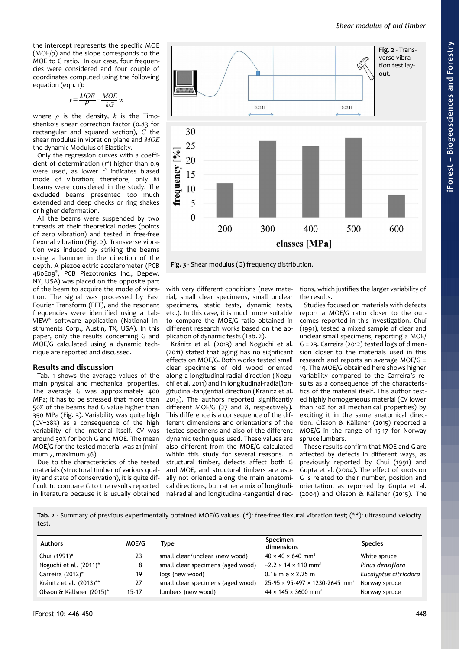the intercept represents the specific MOE (MOE/ρ) and the slope corresponds to the MOE to G ratio. In our case, four frequencies were considered and four couple of coordinates computed using the following equation (eqn. 1):

$$
y = \frac{MOE}{\rho} - \frac{MOE}{kG} \cdot x
$$

where  $\rho$  is the density,  $k$  is the Timoshenko's shear correction factor (0.83 for rectangular and squared section), *G* the shear modulus in vibration plane and *MOE* the dynamic Modulus of Elasticity.

Only the regression curves with a coefficient of determination  $(r^2)$  higher than 0.9 were used, as lower *r* 2 indicates biased mode of vibration; therefore, only 81 beams were considered in the study. The excluded beams presented too much extended and deep checks or ring shakes or higher deformation.

All the beams were suspended by two threads at their theoretical nodes (points of zero vibration) and tested in free-free flexural vibration [\(Fig. 2\)](#page-2-2). Transverse vibration was induced by striking the beams using a hammer in the direction of the depth. A piezoelectric accelerometer (PCB 480E09® , PCB Piezotronics Inc., Depew, NY, USA) was placed on the opposite part of the beam to acquire the mode of vibration. The signal was processed by Fast Fourier Transform (FFT), and the resonant frequencies were identified using a Lab-VIEW® software application (National Instruments Corp., Austin, TX, USA). In this paper, only the results concerning G and MOE/G calculated using a dynamic technique are reported and discussed.

## **Results and discussion**

[Tab. 1](#page-1-0) shows the average values of the main physical and mechanical properties. The average G was approximately 400 MPa; it has to be stressed that more than 50% of the beams had G value higher than 350 MPa [\(Fig. 3\)](#page-2-1). Variability was quite high (CV=28%) as a consequence of the high variability of the material itself. CV was around 30% for both G and MOE. The mean MOE/G for the tested material was 21 (minimum 7, maximum 36).

Due to the characteristics of the tested materials (structural timber of various quality and state of conservation), it is quite difficult to compare G to the results reported in literature because it is usually obtained

<span id="page-2-2"></span>

<span id="page-2-1"></span>**Fig. 3** - Shear modulus (G) frequency distribution.

with very different conditions (new material, small clear specimens, small unclear specimens, static tests, dynamic tests, etc.). In this case, it is much more suitable to compare the MOE/G ratio obtained in different research works based on the application of dynamic tests [\(Tab. 2\)](#page-2-0).

Kránitz et al. (2013) and Noguchi et al. (2011) stated that aging has no significant effects on MOE/G. Both works tested small clear specimens of old wood oriented along a longitudinal-radial direction (Noguchi et al. 2011) and in longitudinal-radial/longitudinal-tangential direction (Kránitz et al. 2013). The authors reported significantly different MOE/G (27 and 8, respectively). This difference is a consequence of the different dimensions and orientations of the tested specimens and also of the different dynamic techniques used. These values are also different from the MOE/G calculated within this study for several reasons. In structural timber, defects affect both G and MOE, and structural timbers are usually not oriented along the main anatomical directions, but rather a mix of longitudinal-radial and longitudinal-tangential directions, which justifies the larger variability of the results.

Studies focused on materials with defects report a MOE/G ratio closer to the outcomes reported in this investigation. Chui (1991), tested a mixed sample of clear and unclear small specimens, reporting a MOE/ G = 23. Carreira (2012) tested logs of dimension closer to the materials used in this research and reports an average MOE/G = 19. The MOE/G obtained here shows higher variability compared to the Carreira's results as a consequence of the characteristics of the material itself. This author tested highly homogeneous material (CV lower than 10% for all mechanical properties) by exciting it in the same anatomical direction. Olsson & Källsner (2015) reported a MOE/G in the range of 15-17 for Norway spruce lumbers.

.<br>These results confirm that MOE and G are affected by defects in different ways, as previously reported by Chui (1991) and Gupta et al. (2004). The effect of knots on G is related to their number, position and orientation, as reported by Gupta et al. (2004) and Olsson & Källsner (2015). The

<span id="page-2-0"></span>Tab. 2 - Summary of previous experimentally obtained MOE/G values. (\*): free-free flexural vibration test; (\*\*): ultrasound velocity test.

| <b>Authors</b>            | MOE/G     | Type                              | Specimen<br>dimensions                                 | <b>Species</b>        |
|---------------------------|-----------|-----------------------------------|--------------------------------------------------------|-----------------------|
| Chui (1991)*              | 23        | small clear/unclear (new wood)    | $40 \times 40 \times 640$ mm <sup>3</sup>              | White spruce          |
| Noguchi et al. (2011)*    | 8         | small clear specimens (aged wood) | $\approx$ 2.2 $\times$ 14 $\times$ 110 mm <sup>3</sup> | Pinus densiflora      |
| Carreira (2012)*          | 19        | logs (new wood)                   | $0.16$ m $\alpha \times 2.25$ m                        | Eucalyptus citriodora |
| Kránitz et al. (2013)**   | 27        | small clear specimens (aged wood) | $25-95 \times 95-497 \times 1230-2645$ mm <sup>3</sup> | Norway spruce         |
| Olsson & Källsner (2015)* | $15 - 17$ | lumbers (new wood)                | $44 \times 145 \times 3600$ mm <sup>3</sup>            | Norway spruce         |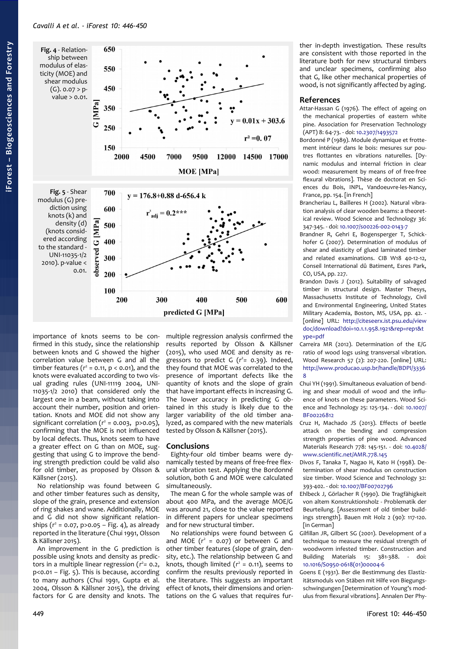<span id="page-3-1"></span>

<span id="page-3-0"></span>importance of knots seems to be confirmed in this study, since the relationship between knots and G showed the higher correlation value between G and all the timber features  $(r^2 = 0.11, p < 0.01)$ , and the knots were evaluated according to two visual grading rules (UNI-11119 2004, UNI-11035-1/2 2010) that considered only the largest one in a beam, without taking into account their number, position and orientation. Knots and MOE did not show any significant correlation  $(r^2 = 0.003, p > 0.05)$ , confirming that the MOE is not influenced by local defects. Thus, knots seem to have a greater effect on G than on MOE, suggesting that using G to improve the bending strength prediction could be valid also for old timber, as proposed by Olsson & Källsner (2015).

No relationship was found between G and other timber features such as density, slope of the grain, presence and extension of ring shakes and wane. Additionally, MOE and G did not show significant relationships  $(r^2 = 0.07, p > 0.05 - Fig. 4)$  $(r^2 = 0.07, p > 0.05 - Fig. 4)$ , as already reported in the literature (Chui 1991, Olsson & Källsner 2015).

An improvement in the G prediction is possible using knots and density as predictors in a multiple linear regression ( $r^2$ = 0.2, p<0.01 – [Fig. 5\)](#page-3-0). This is because, according to many authors (Chui 1991, Gupta et al. 2004, Olsson & Källsner 2015), the driving factors for G are density and knots. The multiple regression analysis confirmed the results reported by Olsson & Källsner (2015), who used MOE and density as regressors to predict G (*r* 2 *=* 0.39). Indeed, they found that MOE was correlated to the presence of important defects like the quantity of knots and the slope of grain that have important effects in increasing G. The lower accuracy in predicting G obtained in this study is likely due to the larger variability of the old timber analyzed, as compared with the new materials tested by Olsson & Källsner (2015).

## **Conclusions**

Eighty-four old timber beams were dynamically tested by means of free-free flexural vibration test. Applying the Bordonné solution, both G and MOE were calculated simultaneously.

The mean G for the whole sample was of about 400 MPa, and the average MOE/G was around 21, close to the value reported in different papers for unclear specimens and for new structural timber.

No relationships were found between G and MOE  $(r^2 = 0.07)$  or between G and other timber features (slope of grain, density, etc.). The relationship between G and knots, though limited  $(r^2 = 0.11)$ , seems to confirm the results previously reported in the literature. This suggests an important effect of knots, their dimensions and orientations on the G values that requires further in-depth investigation. These results are consistent with those reported in the literature both for new structural timbers and unclear specimens, confirming also that G, like other mechanical properties of wood, is not significantly affected by aging.

# **References**

- Attar-Hassan G (1976). The effect of ageing on the mechanical properties of eastern white pine. Association for Preservation Technology (APT) 8: 64-73. - doi: [10.2307/1493572](http://dx.doi.org/10.2307/1493572)
- Bordonné P (1989). Module dynamique et frottement intérieur dans le bois: mesures sur poutres flottantes en vibrations naturelles. [Dynamic modulus and internal friction in clear wood: measurement by means of of free-free flexural vibrations]. Thèse de doctorat en Sciences du Bois, INPL, Vandoeuvre-les-Nancy, France, pp. 154. [in French]
- Brancheriau L, Bailleres H (2002). Natural vibration analysis of clear wooden beams: a theoretical review. Wood Science and Technology 36: 347-345. - doi: [10.1007/s00226-002-0143-7](http://dx.doi.org/10.1007/s00226-002-0143-7)
- Brandner R, Gehri E, Bogensperger T, Schickhofer G (2007). Determination of modulus of shear and elasticity of glued laminated timber and related examinations. CIB W18 40-12-12, Conseil International dû Batiment, Esres Park, CO, USA, pp. 227.
- Brandon Davis J (2012). Suitability of salvaged timber in structural design. Master Thesys, Massachusetts Institute of Technology, Civil and Environmental Engineering, United States Military Academia, Boston, MS, USA, pp. 42. - [online] URL: [http://citeseerx.ist.psu.edu/view](http://citeseerx.ist.psu.edu/viewdoc/download?doi=10.1.1.958.1921&rep=rep1&type=pdf) [doc/download?doi=10.1.1.958.1921&rep=rep1&t](http://citeseerx.ist.psu.edu/viewdoc/download?doi=10.1.1.958.1921&rep=rep1&type=pdf) [ype=pdf](http://citeseerx.ist.psu.edu/viewdoc/download?doi=10.1.1.958.1921&rep=rep1&type=pdf)
- Carreira MR (2012). Determination of the E/G ratio of wood logs using transversal vibration. Wood Research 57 (2): 207-220. [online] URL: [http://www.producao.usp.br/handle/BDPI/3336](http://www.producao.usp.br/handle/BDPI/33368) [8](http://www.producao.usp.br/handle/BDPI/33368)
- Chui YH (1991). Simultaneous evaluation of bending and shear moduli of wood and the influence of knots on these parameters. Wood Science and Technology 25: 125-134. - doi: [10.1007/](http://dx.doi.org/10.1007/BF00226812) [BF00226812](http://dx.doi.org/10.1007/BF00226812)
- Cruz H, Machado JS (2013). Effects of beetle attack on the bending and compression strength properties of pine wood. Advanced Materials Research 778: 145-151. - doi: [10.4028/](http://dx.doi.org/10.4028/www.scientific.net/AMR.778.145) [www.scientific.net/AMR.778.145](http://dx.doi.org/10.4028/www.scientific.net/AMR.778.145)
- Divos F, Tanaka T, Nagao H, Kato H (1998). Determination of shear modulus on construction size timber. Wood Science and Technology 32: 393-402. - doi: [10.1007/BF00702796](http://dx.doi.org/10.1007/BF00702796)
- Ehlbeck J, Görlacher R (1990). Die Tragfähigkeit von altem Konstruktionsholz - Problematik der Beurteilung. [Assessment of old timber buildings strength]. Bauen mit Holz 2 (90): 117-120. [in German]
- Gilfillan JR, Gilbert SG (2001). Development of a technique to measure the residual strength of woodworm infested timber. Construction and Building Materials 15: 381-388. - doi: [10.1016/S0950-0618\(01\)00004-6](http://dx.doi.org/10.1016/S0950-0618(01)00004-6)
- Goens E (1931). Ber die Bestimmung des Elastizitätsmoduls von Stäben mit Hilfe von Biegungsschwingungen [Determination of Young's modulus from flexural vibrations]. Annalen Der Phy-